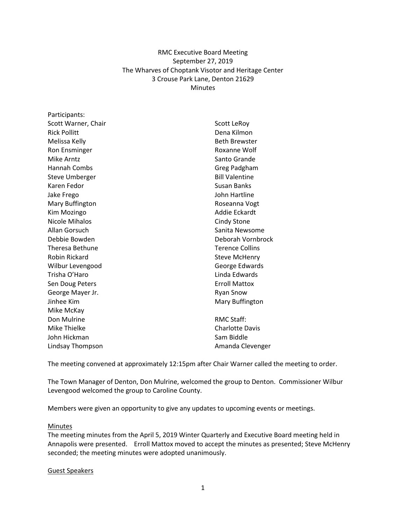# RMC Executive Board Meeting September 27, 2019 The Wharves of Choptank Visotor and Heritage Center 3 Crouse Park Lane, Denton 21629 Minutes

| Participants:         |                        |
|-----------------------|------------------------|
| Scott Warner, Chair   | Scott LeRoy            |
| <b>Rick Pollitt</b>   | Dena Kilmon            |
| Melissa Kelly         | <b>Beth Brewster</b>   |
| Ron Ensminger         | Roxanne Wolf           |
| Mike Arntz            | Santo Grande           |
| Hannah Combs          | Greg Padgham           |
| <b>Steve Umberger</b> | <b>Bill Valentine</b>  |
| Karen Fedor           | Susan Banks            |
| Jake Frego            | John Hartline          |
| Mary Buffington       | Roseanna Vogt          |
| Kim Mozingo           | Addie Eckardt          |
| <b>Nicole Mihalos</b> | Cindy Stone            |
| Allan Gorsuch         | Sanita Newsome         |
| Debbie Bowden         | Deborah Vornbrock      |
| Theresa Bethune       | <b>Terence Collins</b> |
| Robin Rickard         | <b>Steve McHenry</b>   |
| Wilbur Levengood      | George Edwards         |
| Trisha O'Haro         | Linda Edwards          |
| Sen Doug Peters       | <b>Erroll Mattox</b>   |
| George Mayer Jr.      | <b>Ryan Snow</b>       |
| Jinhee Kim            | Mary Buffington        |
| Mike McKay            |                        |
| Don Mulrine           | <b>RMC Staff:</b>      |
| Mike Thielke          | <b>Charlotte Davis</b> |
| John Hickman          | Sam Biddle             |
| Lindsay Thompson      | Amanda Clevenger       |

The meeting convened at approximately 12:15pm after Chair Warner called the meeting to order.

The Town Manager of Denton, Don Mulrine, welcomed the group to Denton. Commissioner Wilbur Levengood welcomed the group to Caroline County.

Members were given an opportunity to give any updates to upcoming events or meetings.

#### **Minutes**

The meeting minutes from the April 5, 2019 Winter Quarterly and Executive Board meeting held in Annapolis were presented. Erroll Mattox moved to accept the minutes as presented; Steve McHenry seconded; the meeting minutes were adopted unanimously.

#### Guest Speakers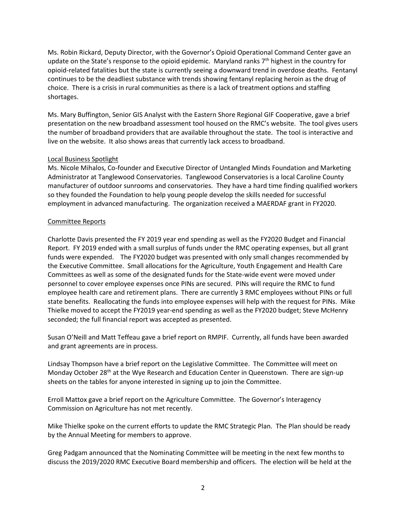Ms. Robin Rickard, Deputy Director, with the Governor's Opioid Operational Command Center gave an update on the State's response to the opioid epidemic. Maryland ranks  $7<sup>th</sup>$  highest in the country for opioid-related fatalities but the state is currently seeing a downward trend in overdose deaths. Fentanyl continues to be the deadliest substance with trends showing fentanyl replacing heroin as the drug of choice. There is a crisis in rural communities as there is a lack of treatment options and staffing shortages.

Ms. Mary Buffington, Senior GIS Analyst with the Eastern Shore Regional GIF Cooperative, gave a brief presentation on the new broadband assessment tool housed on the RMC's website. The tool gives users the number of broadband providers that are available throughout the state. The tool is interactive and live on the website. It also shows areas that currently lack access to broadband.

### Local Business Spotlight

Ms. Nicole Mihalos, Co-founder and Executive Director of Untangled Minds Foundation and Marketing Administrator at Tanglewood Conservatories. Tanglewood Conservatories is a local Caroline County manufacturer of outdoor sunrooms and conservatories. They have a hard time finding qualified workers so they founded the Foundation to help young people develop the skills needed for successful employment in advanced manufacturing. The organization received a MAERDAF grant in FY2020.

# Committee Reports

Charlotte Davis presented the FY 2019 year end spending as well as the FY2020 Budget and Financial Report. FY 2019 ended with a small surplus of funds under the RMC operating expenses, but all grant funds were expended. The FY2020 budget was presented with only small changes recommended by the Executive Committee. Small allocations for the Agriculture, Youth Engagement and Health Care Committees as well as some of the designated funds for the State-wide event were moved under personnel to cover employee expenses once PINs are secured. PINs will require the RMC to fund employee health care and retirement plans. There are currently 3 RMC employees without PINs or full state benefits. Reallocating the funds into employee expenses will help with the request for PINs. Mike Thielke moved to accept the FY2019 year-end spending as well as the FY2020 budget; Steve McHenry seconded; the full financial report was accepted as presented.

Susan O'Neill and Matt Teffeau gave a brief report on RMPIF. Currently, all funds have been awarded and grant agreements are in process.

Lindsay Thompson have a brief report on the Legislative Committee. The Committee will meet on Monday October 28<sup>th</sup> at the Wye Research and Education Center in Queenstown. There are sign-up sheets on the tables for anyone interested in signing up to join the Committee.

Erroll Mattox gave a brief report on the Agriculture Committee. The Governor's Interagency Commission on Agriculture has not met recently.

Mike Thielke spoke on the current efforts to update the RMC Strategic Plan. The Plan should be ready by the Annual Meeting for members to approve.

Greg Padgam announced that the Nominating Committee will be meeting in the next few months to discuss the 2019/2020 RMC Executive Board membership and officers. The election will be held at the